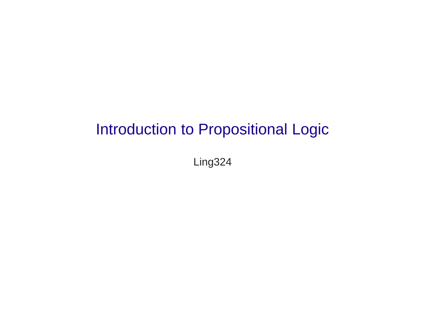# Introduction to Propositional Logic

Ling324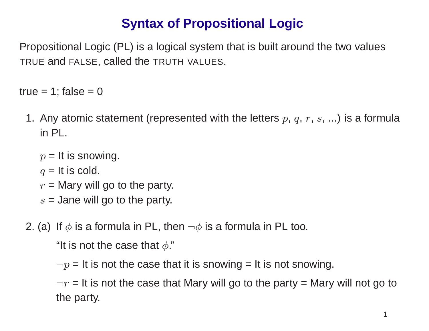## **Syntax of Propositional Logic**

Propositional Logic (PL) is <sup>a</sup> logical system that is built around the two values TRUE and FALSE, called the TRUTH VALUES.

true =  $1$ ; false =  $0$ 

- 1. Any atomic statement (represented with the letters  $p,\,q,\,r,\,s,\,...$ ) is a formula in PL.
	- $p =$  It is snowing.
	- $q =$  It is cold.
	- $r =$  Mary will go to the party.
	- $s =$  Jane will go to the party.

2. (a) If  $\phi$  is a formula in PL, then  $\neg \phi$  is a formula in PL too.

"It is not the case that  $\phi$ ."

 $\neg p$  = It is not the case that it is snowing = It is not snowing.

 $\neg r$  = It is not the case that Mary will go to the party = Mary will not go to the party.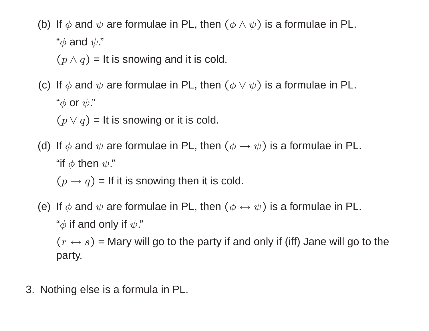(b) If  $\phi$  and  $\psi$  are formulae in PL, then  $(\phi \land \psi)$  is a formulae in PL. " $\phi$  and  $\psi$ ."  $(p \wedge q)$  = It is snowing and it is cold.

(c) If  $\phi$  and  $\psi$  are formulae in PL, then  $(\phi \lor \psi)$  is a formulae in PL.  $``\phi$  or  $\psi$ ."

 $(p \vee q)$  = It is snowing or it is cold.

(d) If  $\phi$  and  $\psi$  are formulae in PL, then  $(\phi \rightarrow \psi)$  is a formulae in PL. "if  $\phi$  then  $\psi$ ."

 $(p \rightarrow q)$  = If it is snowing then it is cold.

(e) If  $\phi$  and  $\psi$  are formulae in PL, then  $(\phi \leftrightarrow \psi)$  is a formulae in PL. " $\phi$  if and only if  $\psi$ ."

 $(r \leftrightarrow s)$  = Mary will go to the party if and only if (iff) Jane will go to the party.

3. Nothing else is <sup>a</sup> formula in PL.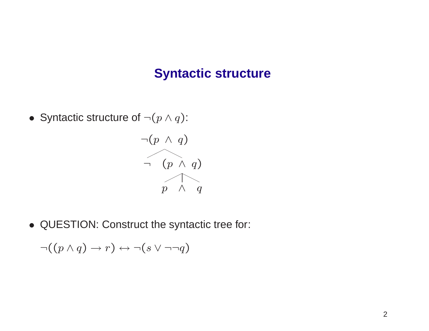#### **Syntactic structure**

• Syntactic structure of  $\neg (p \land q)$ :



• QUESTION: Construct the syntactic tree for:

$$
\neg((p \land q) \to r) \leftrightarrow \neg(s \lor \neg \neg q)
$$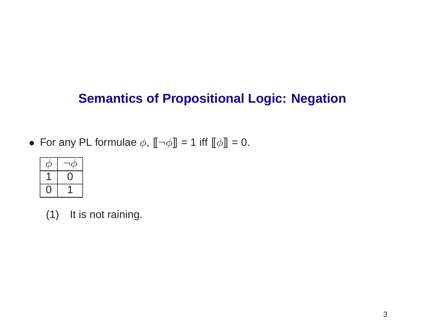## **Semantics of Propositional Logic: Negation**

• For any PL formulae  $\phi$ ,  $\llbracket \neg \phi \rrbracket = 1$  iff  $\llbracket \phi \rrbracket = 0.$ 



(1) It is not raining.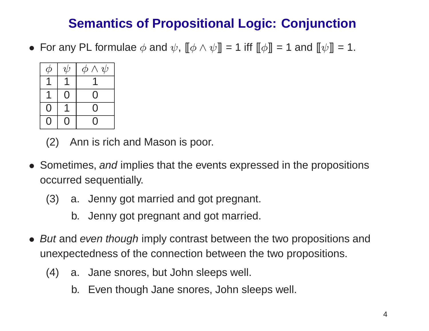## **Semantics of Propositional Logic: Conjunction**

 $\bullet\,$  For any PL formulae  $\phi$  and  $\psi$ ,  $\lbrack\!\lbrack\phi\wedge\psi\rbrack\!\rbrack =1$  iff  $\lbrack\!\lbrack\phi\rbrack\!\rbrack =1$  and  $\lbrack\!\lbrack\psi\rbrack\!\rbrack =1.$ 



(2) Ann is rich and Mason is poor.

- Sometimes, and implies that the events expressed in the propositions occurred sequentially.
	- (3) a. Jenny got married and got pregnant.
		- b. Jenny got pregnant and got married.
- *But* and *even though* imply contrast between the two propositions and unexpectedness of the connection between the two propositions.
	- (4) a. Jane snores, but John sleeps well.
		- b. Even though Jane snores, John sleeps well.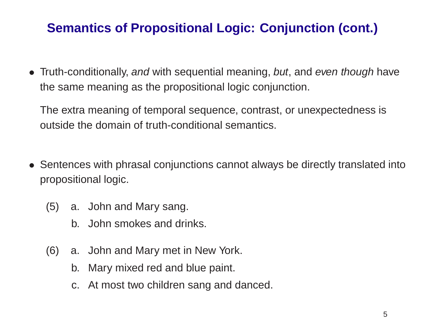## **Semantics of Propositional Logic: Conjunction (cont.)**

• Truth-conditionally, and with sequential meaning, but, and even though have the same meaning as the propositional logic conjunction.

The extra meaning of temporal sequence, contrast, or unexpectedness is outside the domain of truth-conditional semantics.

- Sentences with phrasal conjunctions cannot always be directly translated into propositional logic.
	- (5) a. John and Mary sang.
		- b. John smokes and drinks.
	- (6) a. John and Mary met in New York.
		- b. Mary mixed red and blue paint.
		- c. At most two children sang and danced.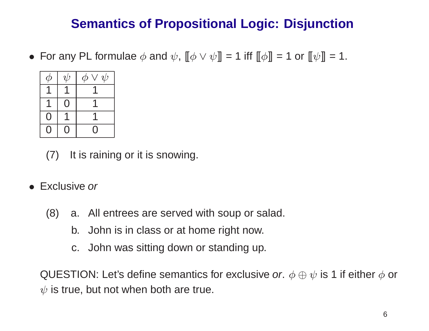## **Semantics of Propositional Logic: Disjunction**

 $\bullet\,$  For any PL formulae  $\phi$  and  $\psi$ ,  $\llbracket \phi\vee\psi\rrbracket =1$  iff  $\llbracket\phi\rrbracket =1$  or  $\llbracket\psi\rrbracket =1$ .



(7) It is raining or it is snowing.

- Exclusive or
	- (8) a. All entrees are served with soup or salad.
		- b. John is in class or at home right now.
		- c. John was sitting down or standing up.

QUESTION: Let's define semantics for exclusive *or*.  $\phi \oplus \psi$  is 1 if either  $\phi$  or  $\psi$  is true, but not when both are true.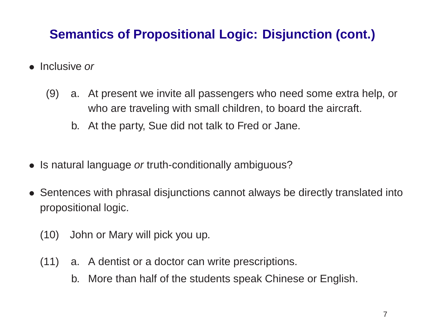## **Semantics of Propositional Logic: Disjunction (cont.)**

- Inclusive or
	- (9) a. At present we invite all passengers who need some extra help, or who are traveling with small children, to board the aircraft.
		- b. At the party, Sue did not talk to Fred or Jane.
- Is natural language or truth-conditionally ambiguous?
- Sentences with phrasal disjunctions cannot always be directly translated into propositional logic.
	- (10) John or Mary will pick you up.
	- (11) a. A dentist or <sup>a</sup> doctor can write prescriptions.
		- b. More than half of the students speak Chinese or English.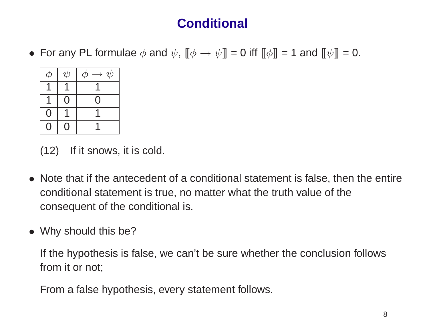# **Conditional**

• For any PL formulae  $\phi$  and  $\psi$ ,  $[\phi \rightarrow \psi] = 0$  iff  $[\phi] = 1$  and  $[\psi] = 0$ .



(12) If it snows, it is cold.

- Note that if the antecedent of <sup>a</sup> conditional statement is false, then the entire conditional statement is true, no matter what the truth value of the consequent of the conditional is.
- Why should this be?

If the hypothesis is false, we can't be sure whether the conclusion follows from it or not;

From <sup>a</sup> false hypothesis, every statement follows.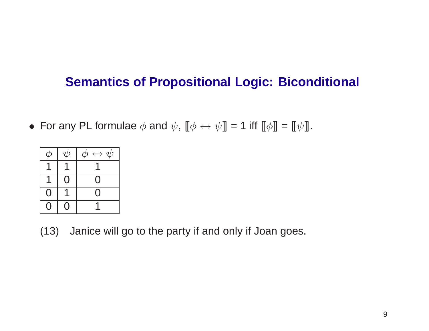### **Semantics of Propositional Logic: Biconditional**

• For any PL formulae  $\phi$  and  $\psi$ ,  $[\![\phi \leftrightarrow \psi]\!] = 1$  iff  $[\![\phi]\!] = [\![\psi]\!]$ .

| $\mathcal{D}% _{M_{1},M_{2}}^{\alpha,\beta}(\varepsilon)$ | $\psi$         | $\phi \leftrightarrow \psi$ |
|-----------------------------------------------------------|----------------|-----------------------------|
|                                                           |                |                             |
|                                                           | $\rm _{\odot}$ | ( )                         |
| $\overline{O}$                                            |                | ( )                         |
|                                                           |                |                             |

(13) Janice will go to the party if and only if Joan goes.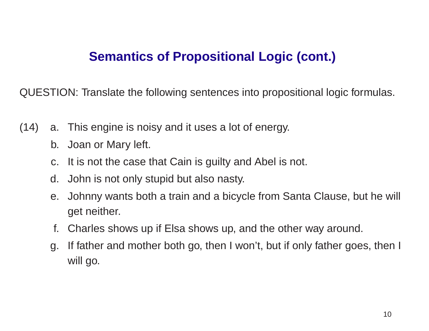### **Semantics of Propositional Logic (cont.)**

QUESTION: Translate the following sentences into propositional logic formulas.

- (14) a. This engine is noisy and it uses <sup>a</sup> lot of energy.
	- b. Joan or Mary left.
	- c. It is not the case that Cain is guilty and Abel is not.
	- d. John is not only stupid but also nasty.
	- e. Johnny wants both <sup>a</sup> train and <sup>a</sup> bicycle from Santa Clause, but he will get neither.
	- f. Charles shows up if Elsa shows up, and the other way around.
	- g. If father and mother both go, then I won't, but if only father goes, then I will go.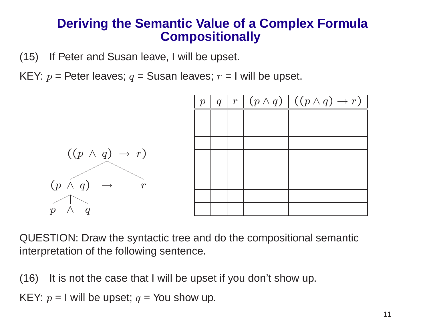#### **Deriving the Semantic Value of <sup>a</sup> Complex Formula Compositionally**

(15) If Peter and Susan leave, I will be upset.

KEY:  $p =$  Peter leaves;  $q =$  Susan leaves;  $r =$  I will be upset.



QUESTION: Draw the syntactic tree and do the compositional semantic interpretation of the following sentence.

(16) It is not the case that I will be upset if you don't show up.

KEY:  $p =$  I will be upset;  $q = \text{\small You show up}.$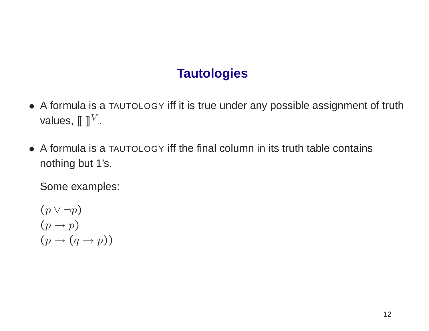## **Tautologies**

- A formula is <sup>a</sup> TAUTOLOGY iff it is true under any possible assignment of truth values,  $[\![\ ]\!]^V$ .
- A formula is a TAUTOLOGY iff the final column in its truth table contains nothing but 1's.

Some examples:

 $(p \vee \neg p)$  $(p \rightarrow p)$  $(p \rightarrow (q \rightarrow p))$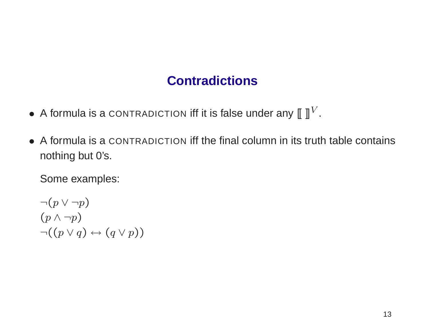#### **Contradictions**

- A formula is a CONTRADICTION iff it is false under any  $\llbracket \; \rrbracket^V$ .
- A formula is a CONTRADICTION iff the final column in its truth table contains nothing but 0's.

Some examples:

$$
\neg (p \lor \neg p)
$$
  
\n
$$
(p \land \neg p)
$$
  
\n
$$
\neg ((p \lor q) \leftrightarrow (q \lor p))
$$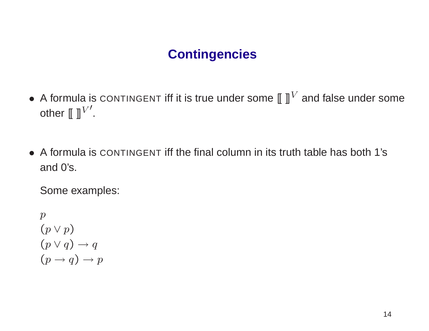## **Contingencies**

- A formula is CONTINGENT iff it is true under some  $\llbracket \; \rrbracket^V$  and false under some other  $[[ \; ]]^{V'}$ .
- A formula is CONTINGENT iff the final column in its truth table has both 1's and 0's.

Some examples:

$$
p
$$
  
(p \lor p)  
(p \lor q) \to q  
(p \to q) \to p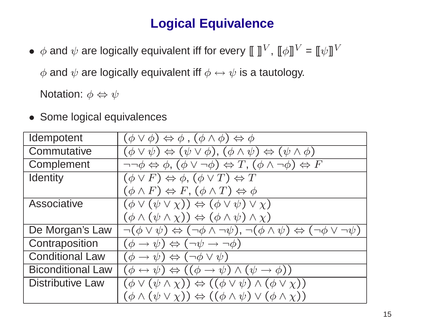## **Logical Equivalence**

•  $\phi$  and  $\psi$  are logically equivalent iff for every  $\llbracket \; \rrbracket^V$ ,  $\llbracket \phi \rrbracket^V = \llbracket \psi \rrbracket^V$ 

 $\phi$  and  $\psi$  are logically equivalent iff  $\phi \leftrightarrow \psi$  is a tautology.

Notation:  $\phi \Leftrightarrow \psi$ 

• Some logical equivalences

| Idempotent               | $(\phi \vee \phi) \Leftrightarrow \phi$ , $(\phi \wedge \phi) \Leftrightarrow \phi$                                                     |
|--------------------------|-----------------------------------------------------------------------------------------------------------------------------------------|
| Commutative              | $(\phi \vee \psi) \Leftrightarrow (\psi \vee \phi), (\phi \wedge \psi) \Leftrightarrow (\psi \wedge \phi)$                              |
| Complement               | $\neg\neg \phi \Leftrightarrow \phi, (\phi \vee \neg \phi) \Leftrightarrow T, (\phi \wedge \neg \phi) \Leftrightarrow F$                |
| <b>Identity</b>          | $(\phi \vee F) \Leftrightarrow \phi$ , $(\phi \vee T) \Leftrightarrow \overline{T}$                                                     |
|                          | $(\phi \wedge F) \Leftrightarrow F, (\phi \wedge T) \Leftrightarrow \phi$                                                               |
| Associative              | $(\phi \vee (\psi \vee \chi)) \Leftrightarrow (\phi \vee \psi) \vee \chi)$                                                              |
|                          | $(\phi \wedge (\psi \wedge \chi)) \Leftrightarrow (\phi \wedge \psi) \wedge \chi)$                                                      |
| De Morgan's Law          | $\neg(\phi \vee \psi) \Leftrightarrow (\neg \phi \wedge \neg \psi), \neg (\phi \wedge \psi) \Leftrightarrow (\neg \phi \vee \neg \psi)$ |
| Contraposition           | $(\phi \rightarrow \psi) \Leftrightarrow (\neg \psi \rightarrow \neg \phi)$                                                             |
| <b>Conditional Law</b>   | $(\phi \rightarrow \psi) \Leftrightarrow (\neg \phi \vee \psi)$                                                                         |
| <b>Biconditional Law</b> | $(\phi \leftrightarrow \psi) \Leftrightarrow ((\phi \rightarrow \psi) \land (\psi \rightarrow \phi))$                                   |
| <b>Distributive Law</b>  | $(\phi \vee (\psi \wedge \chi)) \Leftrightarrow ((\phi \vee \psi) \wedge (\phi \vee \chi))$                                             |
|                          | $(\phi \wedge (\psi \vee \chi)) \Leftrightarrow ((\phi \wedge \psi) \vee (\phi \wedge \chi))$                                           |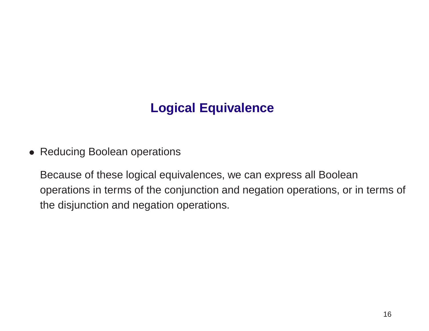## **Logical Equivalence**

• Reducing Boolean operations

Because of these logical equivalences, we can express all Boolean operations in terms of the conjunction and negation operations, or in terms of the disjunction and negation operations.